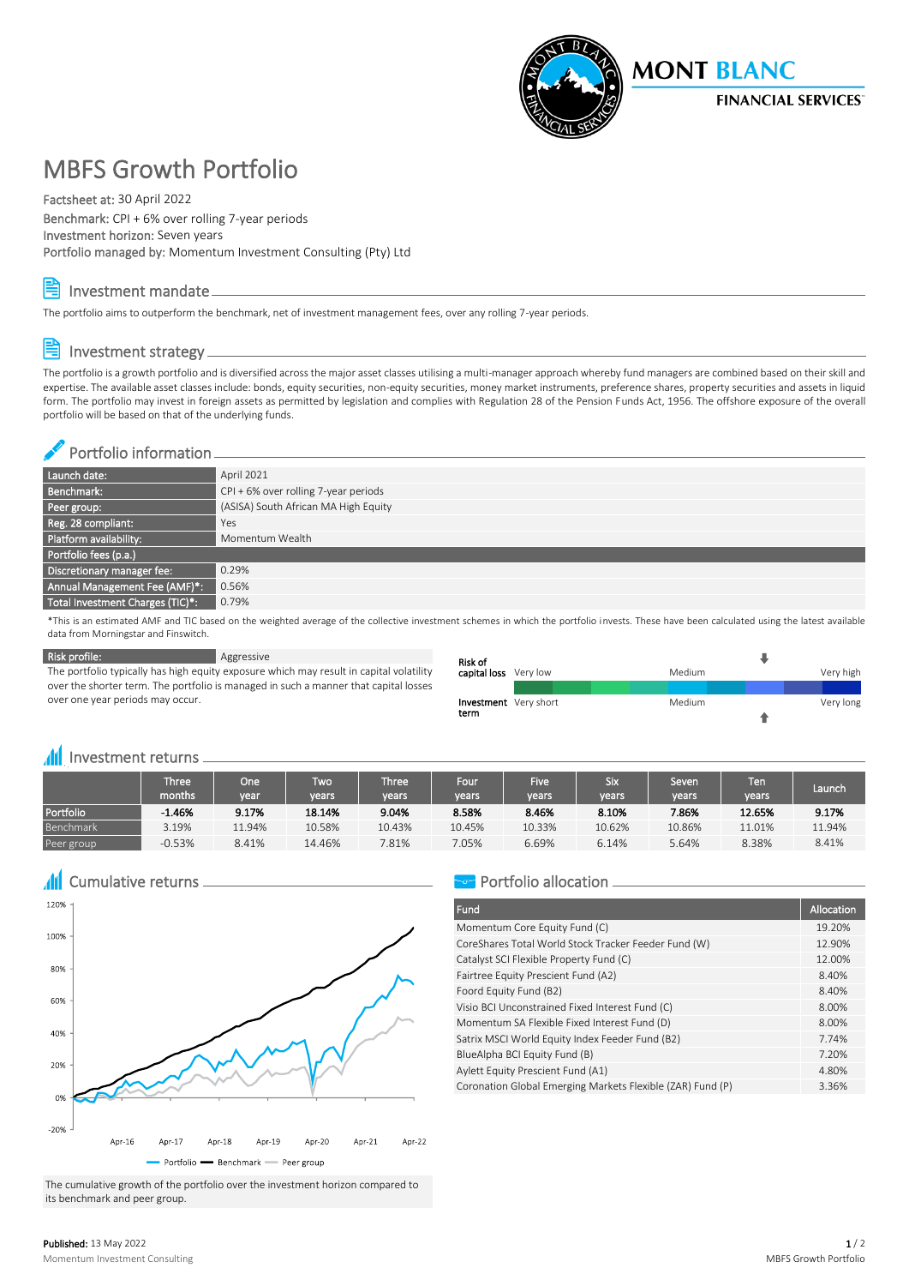

# MBFS Growth Portfolio

Factsheet at: 30 April 2022

Benchmark: CPI + 6% over rolling 7-year periods Investment horizon: Seven years Portfolio managed by: Momentum Investment Consulting (Pty) Ltd

Investment mandate

The portfolio aims to outperform the benchmark, net of investment management fees, over any rolling 7-year periods.

## Investment strategy

The portfolio is a growth portfolio and is diversified across the major asset classes utilising a multi-manager approach whereby fund managers are combined based on their skill and expertise. The available asset classes include: bonds, equity securities, non-equity securities, money market instruments, preference shares, property securities and assets in liquid form. The portfolio may invest in foreign assets as permitted by legislation and complies with Regulation 28 of the Pension Funds Act, 1956. The offshore exposure of the overall portfolio will be based on that of the underlying funds.

## Portfolio information

| Launch date:                     | April 2021                             |
|----------------------------------|----------------------------------------|
| Benchmark:                       | $CPI + 6%$ over rolling 7-year periods |
| Peer group:                      | (ASISA) South African MA High Equity   |
| Reg. 28 compliant:               | Yes                                    |
| Platform availability:           | Momentum Wealth                        |
| Portfolio fees (p.a.)            |                                        |
| Discretionary manager fee:       | 0.29%                                  |
| Annual Management Fee (AMF)*:    | 0.56%                                  |
| Total Investment Charges (TIC)*: | 0.79%                                  |

\*This is an estimated AMF and TIC based on the weighted average of the collective investment schemes in which the portfolio invests. These have been calculated using the latest available data from Morningstar and Finswitch.

**Risk profile:** Aggressive

The portfolio typically has high equity exposure which may result in capital volatility over the shorter term. The portfolio is managed in such a manner that capital losses over one year periods may occur.

| Risk of                      |        |           |  |  |  |  |  |  |
|------------------------------|--------|-----------|--|--|--|--|--|--|
| capital loss Very low        | Medium | Very high |  |  |  |  |  |  |
|                              |        |           |  |  |  |  |  |  |
| <b>Investment</b> Very short | Medium | Very long |  |  |  |  |  |  |
| term                         |        |           |  |  |  |  |  |  |

## **III** Investment returns

|            | Three'<br>months | One<br>vear | Two<br>vears | <b>Three</b><br>vears | Four<br>years | Five <sup>1</sup><br>vears | Six<br>vears | Seven<br>vears | Ten<br><b>vears</b> | Launch |  |
|------------|------------------|-------------|--------------|-----------------------|---------------|----------------------------|--------------|----------------|---------------------|--------|--|
| Portfolio  | $-1.46%$         | 9.17%       | 18.14%       | 9.04%                 | 8.58%         | 8.46%                      | 8.10%        | 7.86%          | 12.65%              | 9.17%  |  |
| Benchmark  | 3.19%            | 11.94%      | 10.58%       | 10.43%                | 10.45%        | 10.33%                     | 10.62%       | 10.86%         | 11.01%              | 11.94% |  |
| Peer group | $-0.53%$         | 8.41%       | 14.46%       | 7.81%                 | 7.05%         | 6.69%                      | 6.14%        | 5.64%          | 8.38%               | 8.41%  |  |

**All** Cumulative returns



The cumulative growth of the portfolio over the investment horizon compared to its benchmark and peer group.

## Portfolio allocation -

| <b>Fund</b>                                                | Allocation |
|------------------------------------------------------------|------------|
| Momentum Core Equity Fund (C)                              | 19.20%     |
| CoreShares Total World Stock Tracker Feeder Fund (W)       | 12.90%     |
| Catalyst SCI Flexible Property Fund (C)                    | 12.00%     |
| Fairtree Equity Prescient Fund (A2)                        | 8.40%      |
| Foord Equity Fund (B2)                                     | 8.40%      |
| Visio BCI Unconstrained Fixed Interest Fund (C)            | 8.00%      |
| Momentum SA Flexible Fixed Interest Fund (D)               | 8.00%      |
| Satrix MSCI World Equity Index Feeder Fund (B2)            | 7.74%      |
| BlueAlpha BCI Equity Fund (B)                              | 7.20%      |
| Aylett Equity Prescient Fund (A1)                          | 4.80%      |
| Coronation Global Emerging Markets Flexible (ZAR) Fund (P) | 3.36%      |